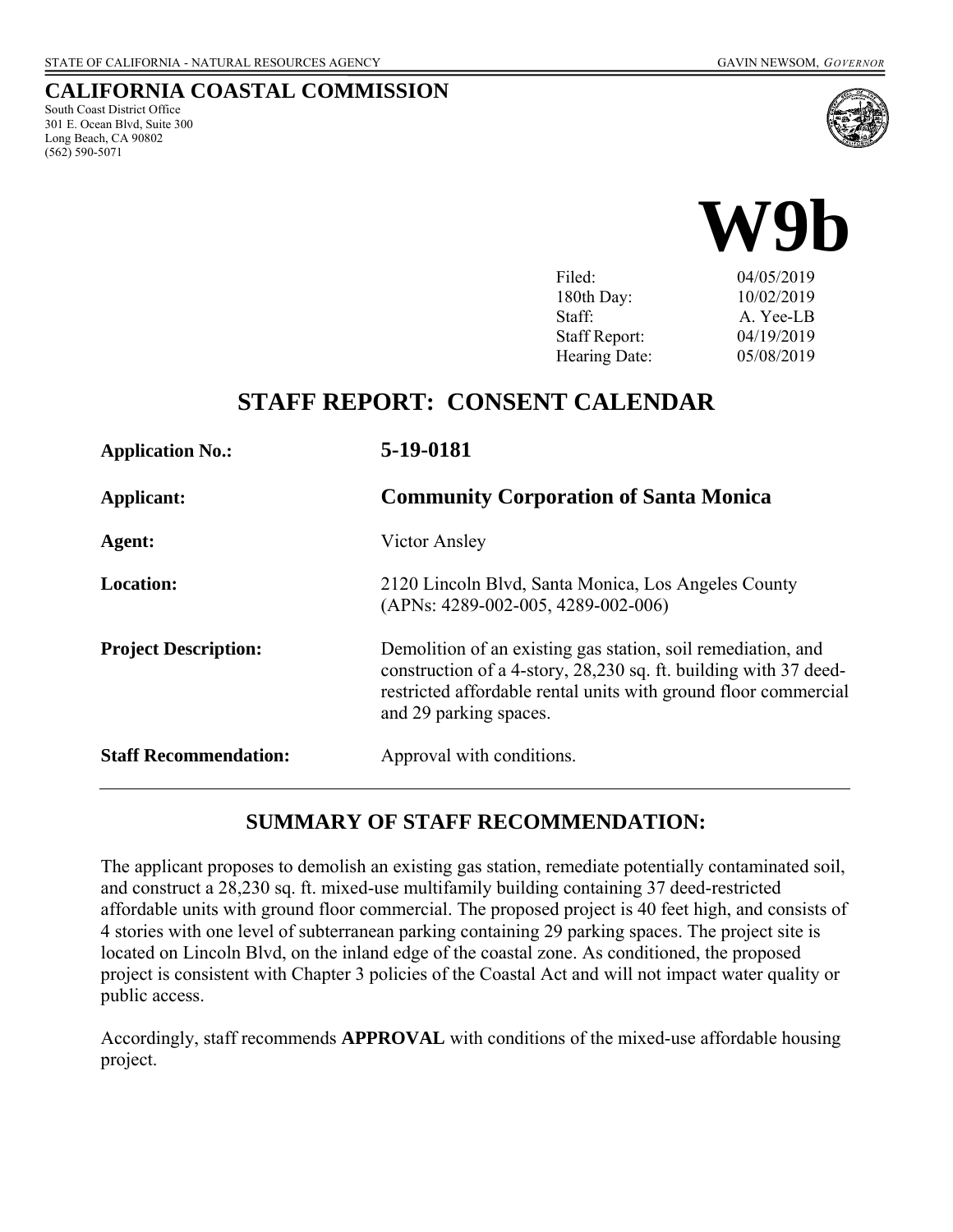## **CALIFORNIA COASTAL COMMISSION**

South Coast District Office 301 E. Ocean Blvd, Suite 300 Long Beach, CA 90802 (562) 590-5071





180th Day: 10/02/2019 Staff: A. Yee-LB Staff Report: 04/19/2019 Hearing Date: 05/08/2019

# **STAFF REPORT: CONSENT CALENDAR**

| <b>Application No.:</b>      | 5-19-0181<br><b>Community Corporation of Santa Monica</b>                                                                                                                                                                     |  |
|------------------------------|-------------------------------------------------------------------------------------------------------------------------------------------------------------------------------------------------------------------------------|--|
| Applicant:                   |                                                                                                                                                                                                                               |  |
| Agent:                       | Victor Ansley                                                                                                                                                                                                                 |  |
| <b>Location:</b>             | 2120 Lincoln Blvd, Santa Monica, Los Angeles County<br>$(APNs: 4289-002-005, 4289-002-006)$                                                                                                                                   |  |
| <b>Project Description:</b>  | Demolition of an existing gas station, soil remediation, and<br>construction of a 4-story, 28,230 sq. ft. building with 37 deed-<br>restricted affordable rental units with ground floor commercial<br>and 29 parking spaces. |  |
| <b>Staff Recommendation:</b> | Approval with conditions.                                                                                                                                                                                                     |  |

# **SUMMARY OF STAFF RECOMMENDATION:**

The applicant proposes to demolish an existing gas station, remediate potentially contaminated soil, and construct a 28,230 sq. ft. mixed-use multifamily building containing 37 deed-restricted affordable units with ground floor commercial. The proposed project is 40 feet high, and consists of 4 stories with one level of subterranean parking containing 29 parking spaces. The project site is located on Lincoln Blvd, on the inland edge of the coastal zone. As conditioned, the proposed project is consistent with Chapter 3 policies of the Coastal Act and will not impact water quality or public access.

Accordingly, staff recommends **APPROVAL** with conditions of the mixed-use affordable housing project.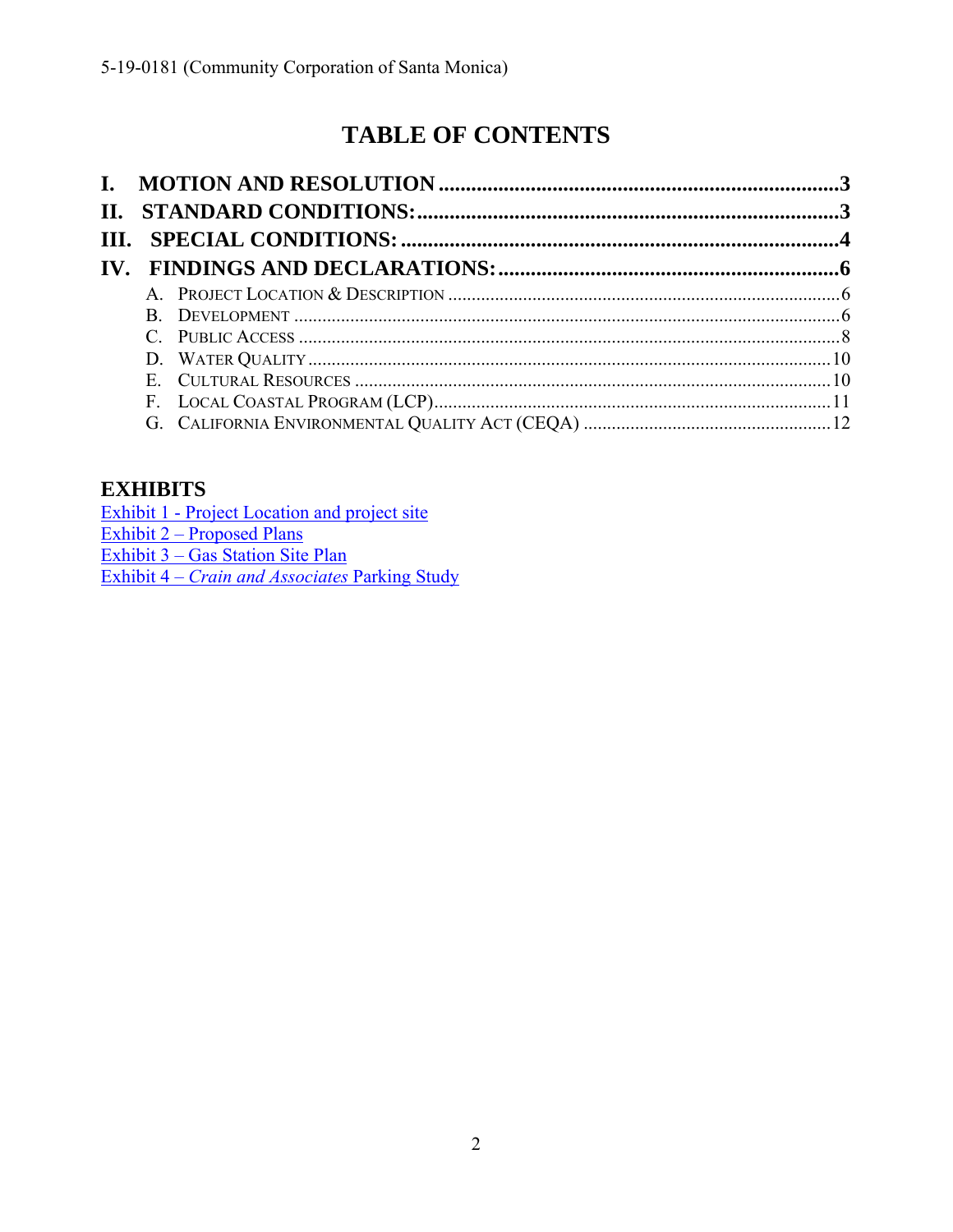# **TABLE OF CONTENTS**

# **EXHIBITS**

| Exhibit 1 - Project Location and project site         |
|-------------------------------------------------------|
| Exhibit 2 – Proposed Plans                            |
| Exhibit 3 – Gas Station Site Plan                     |
| Exhibit 4 – <i>Crain and Associates</i> Parking Study |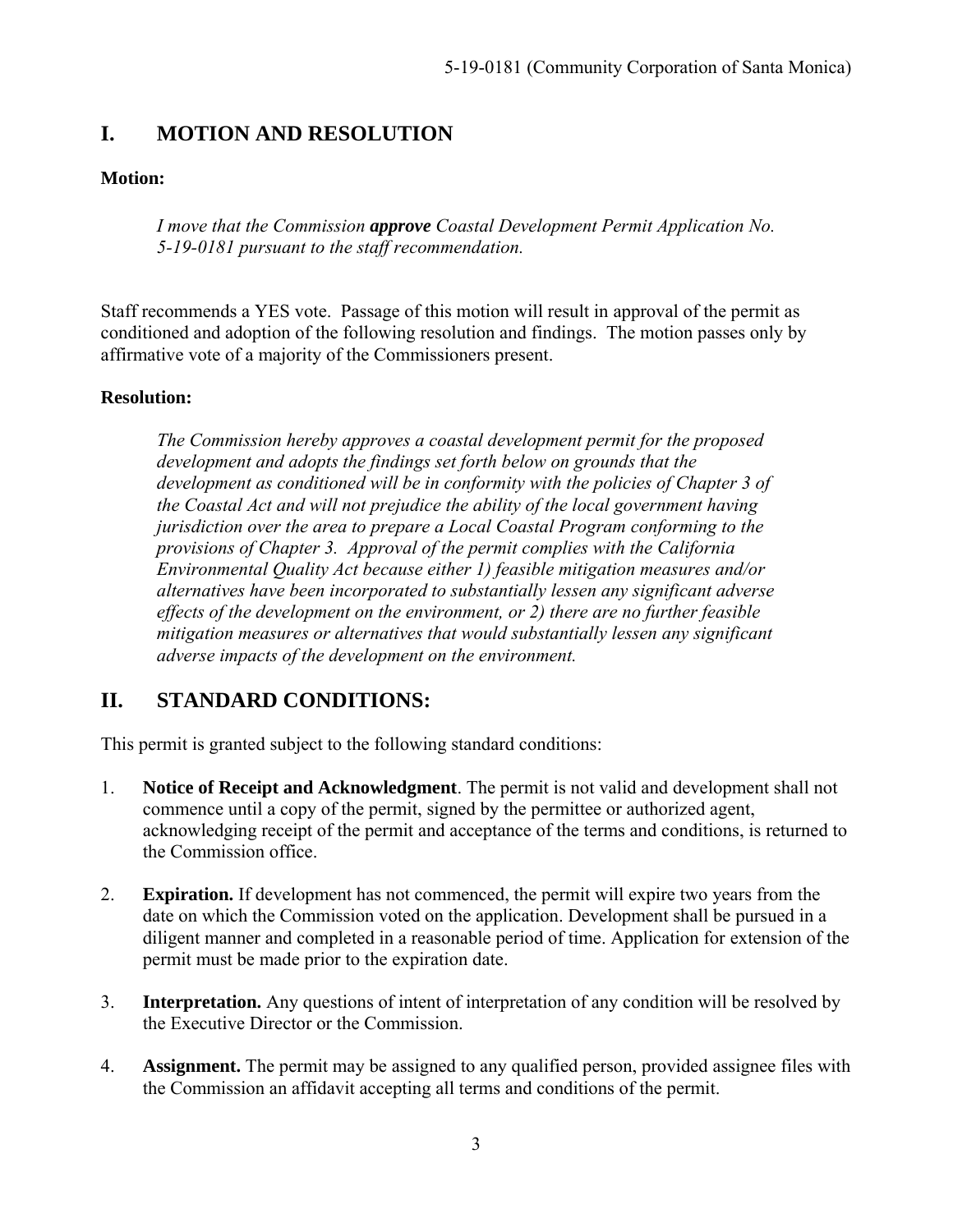# **I. MOTION AND RESOLUTION**

## **Motion:**

*I move that the Commission approve Coastal Development Permit Application No. 5-19-0181 pursuant to the staff recommendation.*

Staff recommends a YES vote. Passage of this motion will result in approval of the permit as conditioned and adoption of the following resolution and findings. The motion passes only by affirmative vote of a majority of the Commissioners present.

## **Resolution:**

*The Commission hereby approves a coastal development permit for the proposed development and adopts the findings set forth below on grounds that the development as conditioned will be in conformity with the policies of Chapter 3 of the Coastal Act and will not prejudice the ability of the local government having jurisdiction over the area to prepare a Local Coastal Program conforming to the provisions of Chapter 3. Approval of the permit complies with the California Environmental Quality Act because either 1) feasible mitigation measures and/or alternatives have been incorporated to substantially lessen any significant adverse effects of the development on the environment, or 2) there are no further feasible mitigation measures or alternatives that would substantially lessen any significant adverse impacts of the development on the environment.* 

# **II. STANDARD CONDITIONS:**

This permit is granted subject to the following standard conditions:

- 1. **Notice of Receipt and Acknowledgment**. The permit is not valid and development shall not commence until a copy of the permit, signed by the permittee or authorized agent, acknowledging receipt of the permit and acceptance of the terms and conditions, is returned to the Commission office.
- 2. **Expiration.** If development has not commenced, the permit will expire two years from the date on which the Commission voted on the application. Development shall be pursued in a diligent manner and completed in a reasonable period of time. Application for extension of the permit must be made prior to the expiration date.
- 3. **Interpretation.** Any questions of intent of interpretation of any condition will be resolved by the Executive Director or the Commission.
- 4. **Assignment.** The permit may be assigned to any qualified person, provided assignee files with the Commission an affidavit accepting all terms and conditions of the permit.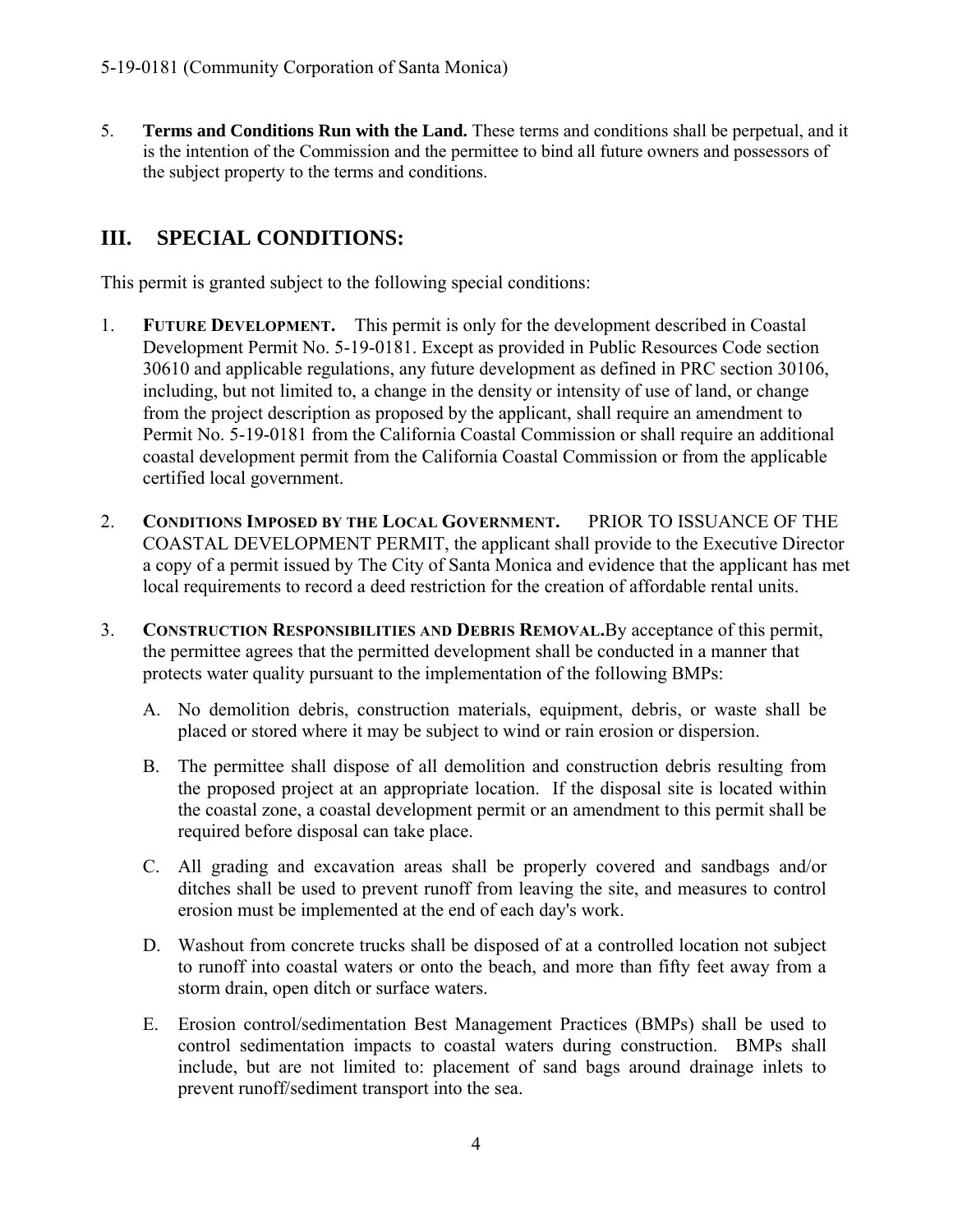5. **Terms and Conditions Run with the Land.** These terms and conditions shall be perpetual, and it is the intention of the Commission and the permittee to bind all future owners and possessors of the subject property to the terms and conditions.

# **III. SPECIAL CONDITIONS:**

This permit is granted subject to the following special conditions:

- 1. **FUTURE DEVELOPMENT.** This permit is only for the development described in Coastal Development Permit No. 5-19-0181. Except as provided in Public Resources Code section 30610 and applicable regulations, any future development as defined in PRC section 30106, including, but not limited to, a change in the density or intensity of use of land, or change from the project description as proposed by the applicant, shall require an amendment to Permit No. 5-19-0181 from the California Coastal Commission or shall require an additional coastal development permit from the California Coastal Commission or from the applicable certified local government.
- 2. **CONDITIONS IMPOSED BY THE LOCAL GOVERNMENT.** PRIOR TO ISSUANCE OF THE COASTAL DEVELOPMENT PERMIT, the applicant shall provide to the Executive Director a copy of a permit issued by The City of Santa Monica and evidence that the applicant has met local requirements to record a deed restriction for the creation of affordable rental units.
- 3. **CONSTRUCTION RESPONSIBILITIES AND DEBRIS REMOVAL.**By acceptance of this permit, the permittee agrees that the permitted development shall be conducted in a manner that protects water quality pursuant to the implementation of the following BMPs:
	- A. No demolition debris, construction materials, equipment, debris, or waste shall be placed or stored where it may be subject to wind or rain erosion or dispersion.
	- B. The permittee shall dispose of all demolition and construction debris resulting from the proposed project at an appropriate location. If the disposal site is located within the coastal zone, a coastal development permit or an amendment to this permit shall be required before disposal can take place.
	- C. All grading and excavation areas shall be properly covered and sandbags and/or ditches shall be used to prevent runoff from leaving the site, and measures to control erosion must be implemented at the end of each day's work.
	- D. Washout from concrete trucks shall be disposed of at a controlled location not subject to runoff into coastal waters or onto the beach, and more than fifty feet away from a storm drain, open ditch or surface waters.
	- E. Erosion control/sedimentation Best Management Practices (BMPs) shall be used to control sedimentation impacts to coastal waters during construction. BMPs shall include, but are not limited to: placement of sand bags around drainage inlets to prevent runoff/sediment transport into the sea.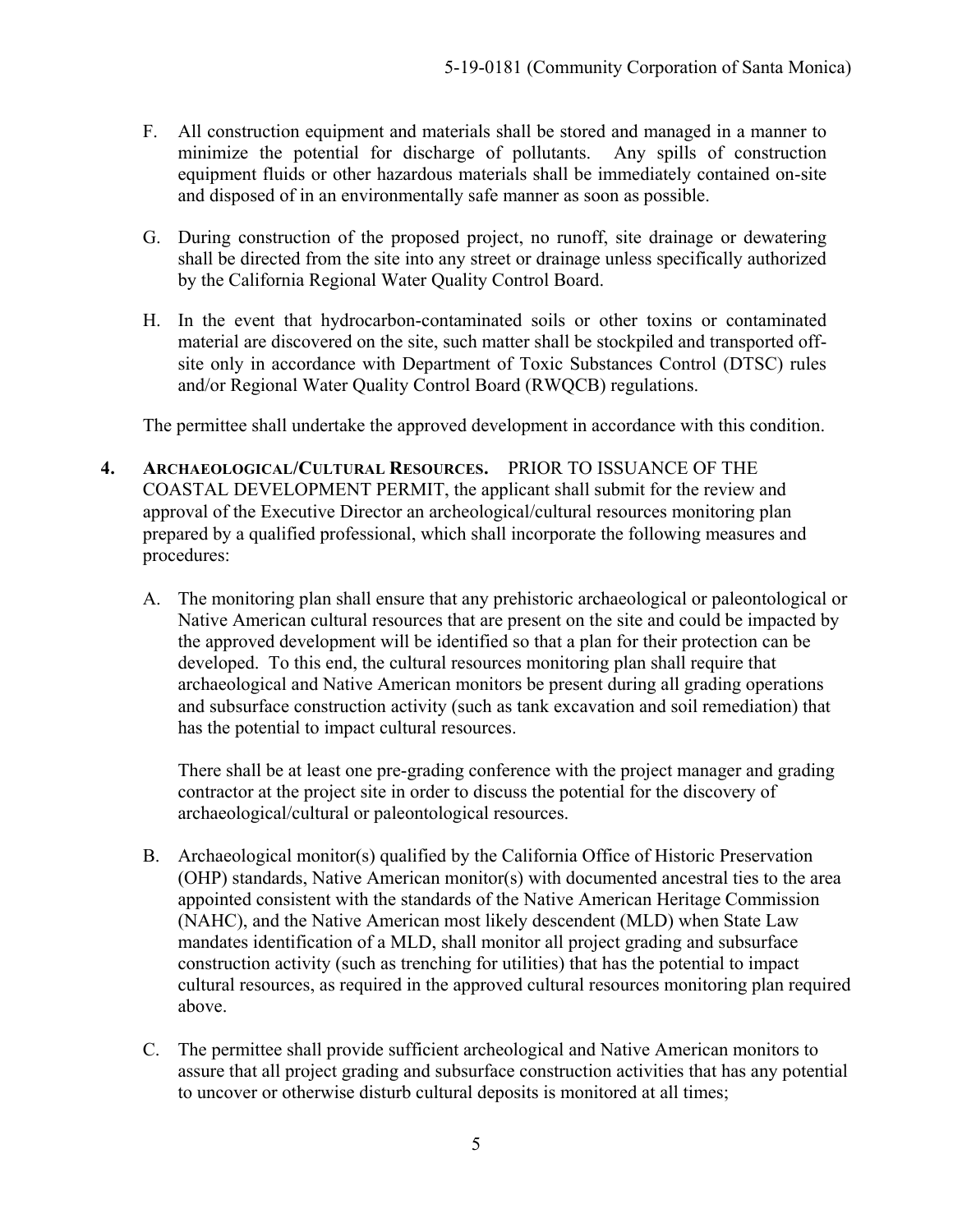- F. All construction equipment and materials shall be stored and managed in a manner to minimize the potential for discharge of pollutants. Any spills of construction equipment fluids or other hazardous materials shall be immediately contained on-site and disposed of in an environmentally safe manner as soon as possible.
- G. During construction of the proposed project, no runoff, site drainage or dewatering shall be directed from the site into any street or drainage unless specifically authorized by the California Regional Water Quality Control Board.
- H. In the event that hydrocarbon-contaminated soils or other toxins or contaminated material are discovered on the site, such matter shall be stockpiled and transported offsite only in accordance with Department of Toxic Substances Control (DTSC) rules and/or Regional Water Quality Control Board (RWQCB) regulations.

The permittee shall undertake the approved development in accordance with this condition.

- **4. ARCHAEOLOGICAL/CULTURAL RESOURCES.** PRIOR TO ISSUANCE OF THE COASTAL DEVELOPMENT PERMIT, the applicant shall submit for the review and approval of the Executive Director an archeological/cultural resources monitoring plan prepared by a qualified professional, which shall incorporate the following measures and procedures:
	- A. The monitoring plan shall ensure that any prehistoric archaeological or paleontological or Native American cultural resources that are present on the site and could be impacted by the approved development will be identified so that a plan for their protection can be developed. To this end, the cultural resources monitoring plan shall require that archaeological and Native American monitors be present during all grading operations and subsurface construction activity (such as tank excavation and soil remediation) that has the potential to impact cultural resources.

There shall be at least one pre-grading conference with the project manager and grading contractor at the project site in order to discuss the potential for the discovery of archaeological/cultural or paleontological resources.

- B. Archaeological monitor(s) qualified by the California Office of Historic Preservation (OHP) standards, Native American monitor(s) with documented ancestral ties to the area appointed consistent with the standards of the Native American Heritage Commission (NAHC), and the Native American most likely descendent (MLD) when State Law mandates identification of a MLD, shall monitor all project grading and subsurface construction activity (such as trenching for utilities) that has the potential to impact cultural resources, as required in the approved cultural resources monitoring plan required above.
- C. The permittee shall provide sufficient archeological and Native American monitors to assure that all project grading and subsurface construction activities that has any potential to uncover or otherwise disturb cultural deposits is monitored at all times;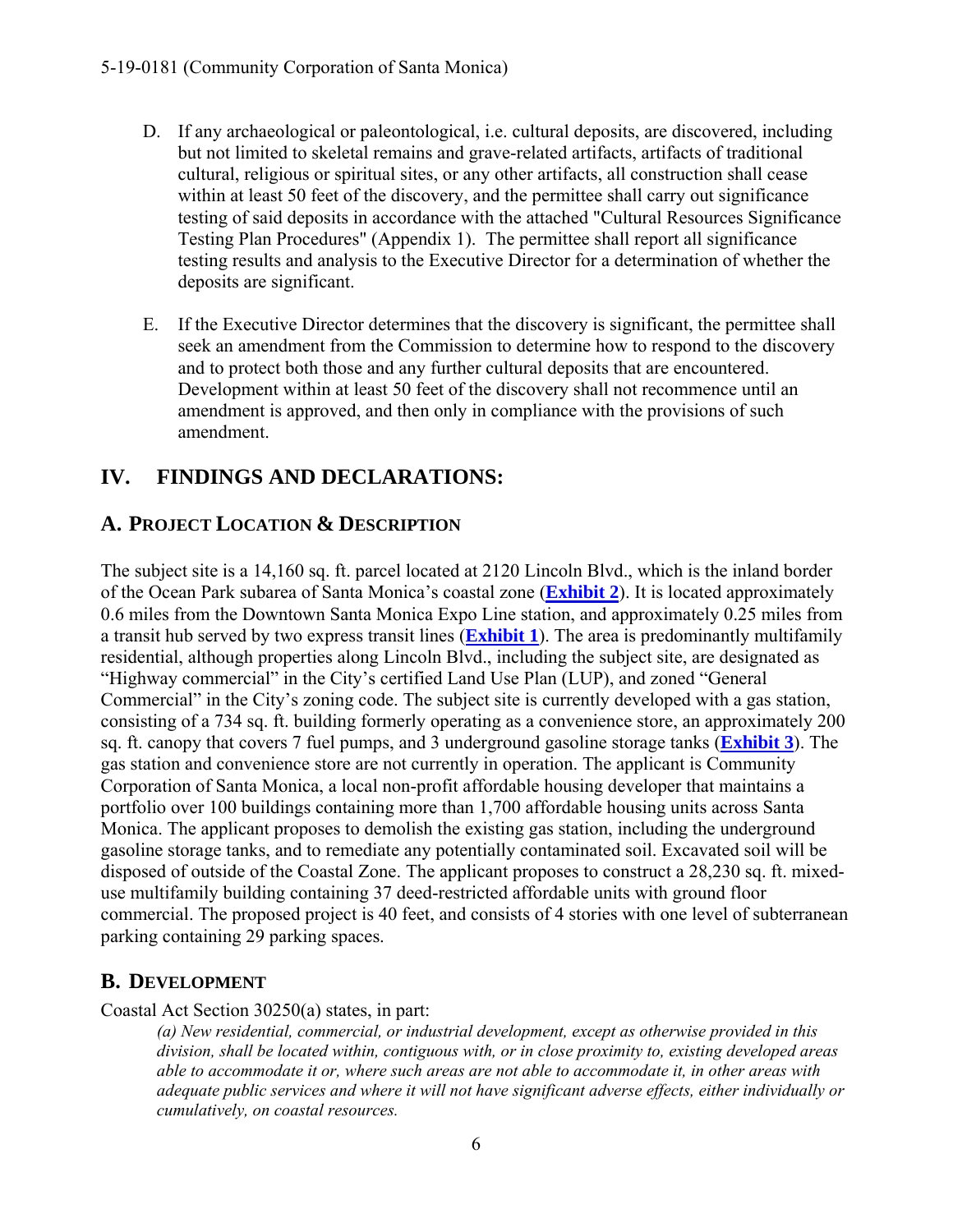- D. If any archaeological or paleontological, i.e. cultural deposits, are discovered, including but not limited to skeletal remains and grave-related artifacts, artifacts of traditional cultural, religious or spiritual sites, or any other artifacts, all construction shall cease within at least 50 feet of the discovery, and the permittee shall carry out significance testing of said deposits in accordance with the attached "Cultural Resources Significance Testing Plan Procedures" (Appendix 1). The permittee shall report all significance testing results and analysis to the Executive Director for a determination of whether the deposits are significant.
- E. If the Executive Director determines that the discovery is significant, the permittee shall seek an amendment from the Commission to determine how to respond to the discovery and to protect both those and any further cultural deposits that are encountered. Development within at least 50 feet of the discovery shall not recommence until an amendment is approved, and then only in compliance with the provisions of such amendment.

# **IV. FINDINGS AND DECLARATIONS:**

# **A. PROJECT LOCATION & DESCRIPTION**

The subject site is a 14,160 sq. ft. parcel located at 2120 Lincoln Blvd., which is the inland border of the Ocean Park subarea of Santa Monica's coastal zone (**[Exhibit 2](https://documents.coastal.ca.gov/reports/2019/5/w9b/w9b-5-2019-exhibits.pdf)**). It is located approximately 0.6 miles from the Downtown Santa Monica Expo Line station, and approximately 0.25 miles from a transit hub served by two express transit lines (**[Exhibit 1](https://documents.coastal.ca.gov/reports/2019/5/w9b/w9b-5-2019-exhibits.pdf)**). The area is predominantly multifamily residential, although properties along Lincoln Blvd., including the subject site, are designated as "Highway commercial" in the City's certified Land Use Plan (LUP), and zoned "General Commercial" in the City's zoning code. The subject site is currently developed with a gas station, consisting of a 734 sq. ft. building formerly operating as a convenience store, an approximately 200 sq. ft. canopy that covers 7 fuel pumps, and 3 underground gasoline storage tanks (**[Exhibit 3](https://documents.coastal.ca.gov/reports/2019/5/w9b/w9b-5-2019-exhibits.pdf)**). The gas station and convenience store are not currently in operation. The applicant is Community Corporation of Santa Monica, a local non-profit affordable housing developer that maintains a portfolio over 100 buildings containing more than 1,700 affordable housing units across Santa Monica. The applicant proposes to demolish the existing gas station, including the underground gasoline storage tanks, and to remediate any potentially contaminated soil. Excavated soil will be disposed of outside of the Coastal Zone. The applicant proposes to construct a 28,230 sq. ft. mixeduse multifamily building containing 37 deed-restricted affordable units with ground floor commercial. The proposed project is 40 feet, and consists of 4 stories with one level of subterranean parking containing 29 parking spaces.

## **B. DEVELOPMENT**

Coastal Act Section 30250(a) states, in part:

*(a) New residential, commercial, or industrial development, except as otherwise provided in this division, shall be located within, contiguous with, or in close proximity to, existing developed areas able to accommodate it or, where such areas are not able to accommodate it, in other areas with adequate public services and where it will not have significant adverse effects, either individually or cumulatively, on coastal resources.*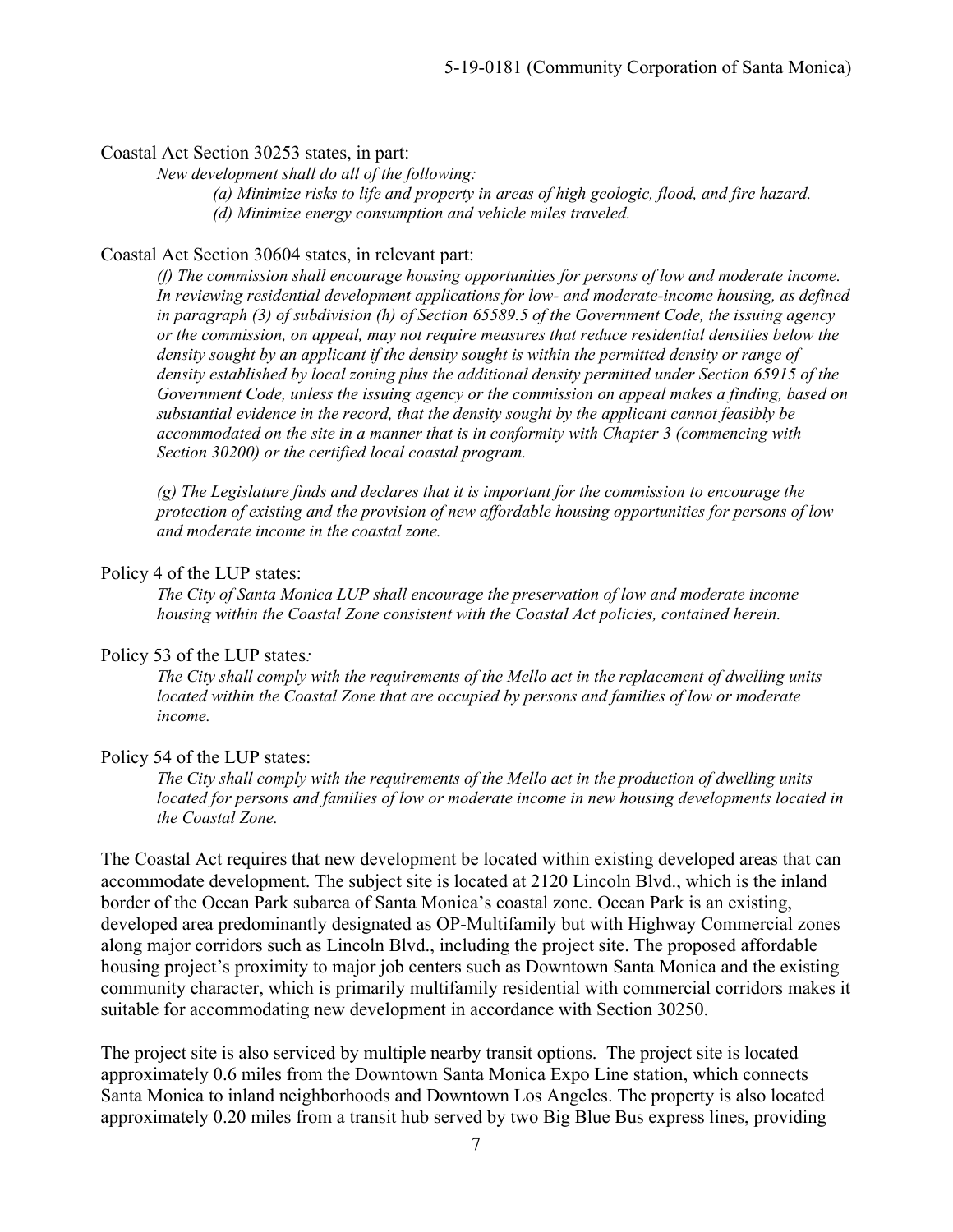#### Coastal Act Section 30253 states, in part:

*New development shall do all of the following:* 

 *(a) Minimize risks to life and property in areas of high geologic, flood, and fire hazard. (d) Minimize energy consumption and vehicle miles traveled.* 

## Coastal Act Section 30604 states, in relevant part:

*(f) The commission shall encourage housing opportunities for persons of low and moderate income. In reviewing residential development applications for low- and moderate-income housing, as defined in paragraph (3) of subdivision (h) of Section 65589.5 of the Government Code, the issuing agency or the commission, on appeal, may not require measures that reduce residential densities below the density sought by an applicant if the density sought is within the permitted density or range of density established by local zoning plus the additional density permitted under Section 65915 of the Government Code, unless the issuing agency or the commission on appeal makes a finding, based on substantial evidence in the record, that the density sought by the applicant cannot feasibly be accommodated on the site in a manner that is in conformity with Chapter 3 (commencing with Section 30200) or the certified local coastal program.* 

*(g) The Legislature finds and declares that it is important for the commission to encourage the protection of existing and the provision of new affordable housing opportunities for persons of low and moderate income in the coastal zone.* 

#### Policy 4 of the LUP states:

*The City of Santa Monica LUP shall encourage the preservation of low and moderate income housing within the Coastal Zone consistent with the Coastal Act policies, contained herein.* 

#### Policy 53 of the LUP states*:*

*The City shall comply with the requirements of the Mello act in the replacement of dwelling units located within the Coastal Zone that are occupied by persons and families of low or moderate income.* 

#### Policy 54 of the LUP states:

*The City shall comply with the requirements of the Mello act in the production of dwelling units located for persons and families of low or moderate income in new housing developments located in the Coastal Zone.* 

The Coastal Act requires that new development be located within existing developed areas that can accommodate development. The subject site is located at 2120 Lincoln Blvd., which is the inland border of the Ocean Park subarea of Santa Monica's coastal zone. Ocean Park is an existing, developed area predominantly designated as OP-Multifamily but with Highway Commercial zones along major corridors such as Lincoln Blvd., including the project site. The proposed affordable housing project's proximity to major job centers such as Downtown Santa Monica and the existing community character, which is primarily multifamily residential with commercial corridors makes it suitable for accommodating new development in accordance with Section 30250.

The project site is also serviced by multiple nearby transit options. The project site is located approximately 0.6 miles from the Downtown Santa Monica Expo Line station, which connects Santa Monica to inland neighborhoods and Downtown Los Angeles. The property is also located approximately 0.20 miles from a transit hub served by two Big Blue Bus express lines, providing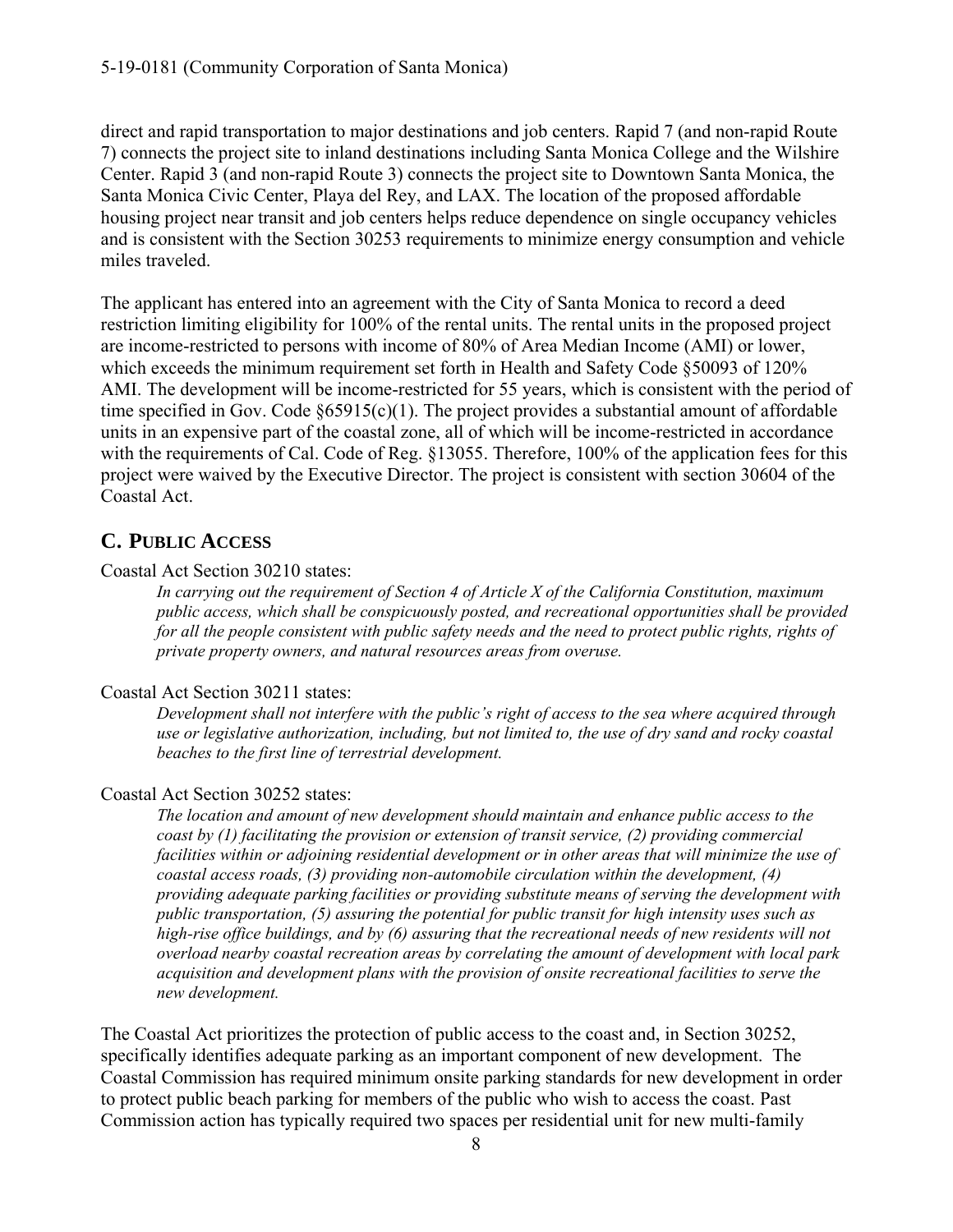direct and rapid transportation to major destinations and job centers. Rapid 7 (and non-rapid Route 7) connects the project site to inland destinations including Santa Monica College and the Wilshire Center. Rapid 3 (and non-rapid Route 3) connects the project site to Downtown Santa Monica, the Santa Monica Civic Center, Playa del Rey, and LAX. The location of the proposed affordable housing project near transit and job centers helps reduce dependence on single occupancy vehicles and is consistent with the Section 30253 requirements to minimize energy consumption and vehicle miles traveled.

The applicant has entered into an agreement with the City of Santa Monica to record a deed restriction limiting eligibility for 100% of the rental units. The rental units in the proposed project are income-restricted to persons with income of 80% of Area Median Income (AMI) or lower, which exceeds the minimum requirement set forth in Health and Safety Code §50093 of 120% AMI. The development will be income-restricted for 55 years, which is consistent with the period of time specified in Gov. Code §65915(c)(1). The project provides a substantial amount of affordable units in an expensive part of the coastal zone, all of which will be income-restricted in accordance with the requirements of Cal. Code of Reg. §13055. Therefore, 100% of the application fees for this project were waived by the Executive Director. The project is consistent with section 30604 of the Coastal Act.

# **C. PUBLIC ACCESS**

### Coastal Act Section 30210 states:

*In carrying out the requirement of Section 4 of Article X of the California Constitution, maximum public access, which shall be conspicuously posted, and recreational opportunities shall be provided for all the people consistent with public safety needs and the need to protect public rights, rights of private property owners, and natural resources areas from overuse.* 

### Coastal Act Section 30211 states:

*Development shall not interfere with the public's right of access to the sea where acquired through use or legislative authorization, including, but not limited to, the use of dry sand and rocky coastal beaches to the first line of terrestrial development.* 

### Coastal Act Section 30252 states:

*The location and amount of new development should maintain and enhance public access to the coast by (1) facilitating the provision or extension of transit service, (2) providing commercial facilities within or adjoining residential development or in other areas that will minimize the use of coastal access roads, (3) providing non-automobile circulation within the development, (4) providing adequate parking facilities or providing substitute means of serving the development with public transportation, (5) assuring the potential for public transit for high intensity uses such as high-rise office buildings, and by (6) assuring that the recreational needs of new residents will not overload nearby coastal recreation areas by correlating the amount of development with local park acquisition and development plans with the provision of onsite recreational facilities to serve the new development.* 

The Coastal Act prioritizes the protection of public access to the coast and, in Section 30252, specifically identifies adequate parking as an important component of new development. The Coastal Commission has required minimum onsite parking standards for new development in order to protect public beach parking for members of the public who wish to access the coast. Past Commission action has typically required two spaces per residential unit for new multi-family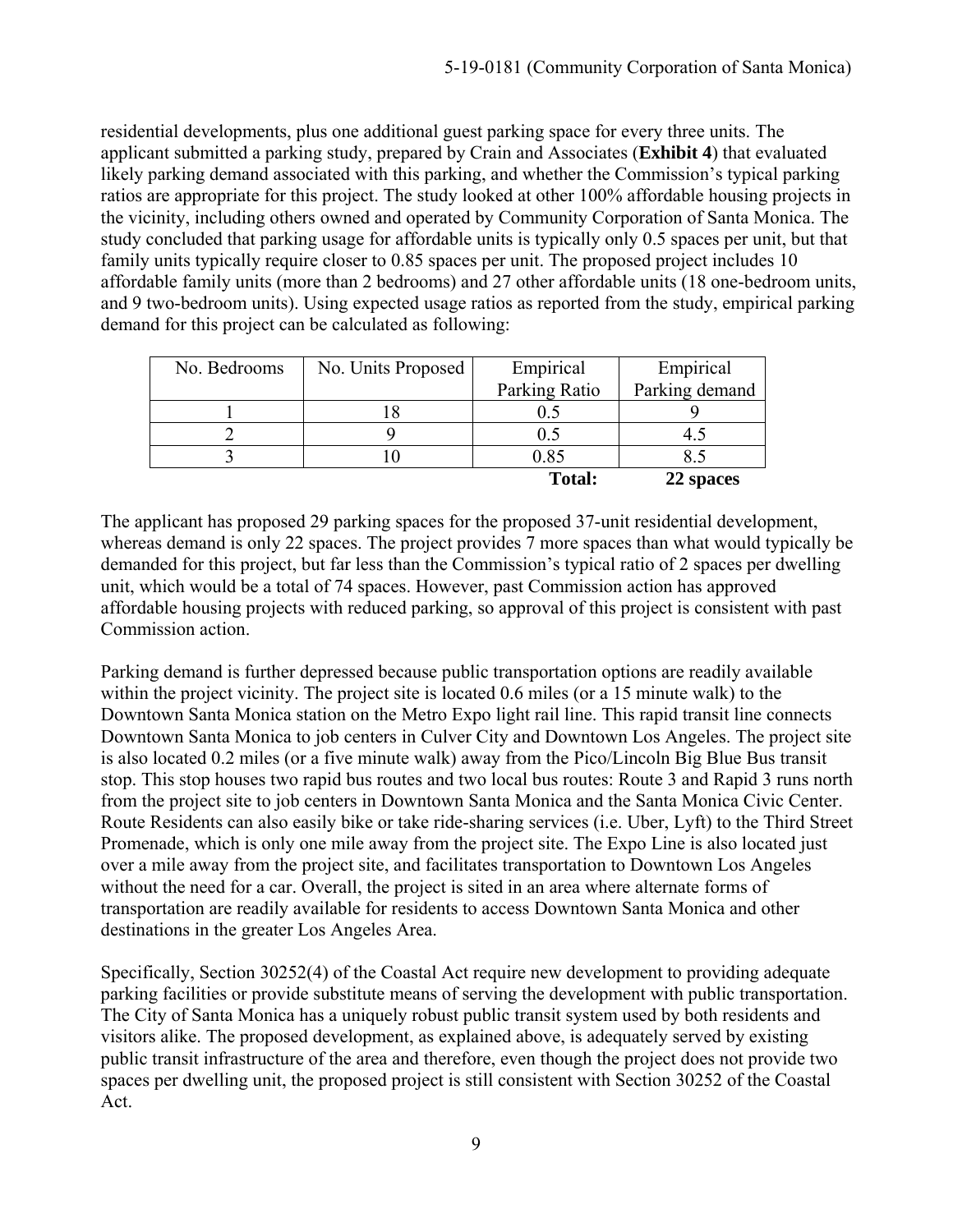residential developments, plus one additional guest parking space for every three units. The applicant submitted a parking study, prepared by Crain and Associates (**Exhibit 4**) that evaluated likely parking demand associated with this parking, and whether the Commission's typical parking ratios are appropriate for this project. The study looked at other 100% affordable housing projects in the vicinity, including others owned and operated by Community Corporation of Santa Monica. The study concluded that parking usage for affordable units is typically only 0.5 spaces per unit, but that family units typically require closer to 0.85 spaces per unit. The proposed project includes 10 affordable family units (more than 2 bedrooms) and 27 other affordable units (18 one-bedroom units, and 9 two-bedroom units). Using expected usage ratios as reported from the study, empirical parking demand for this project can be calculated as following:

| No. Bedrooms | No. Units Proposed | Empirical     | Empirical      |
|--------------|--------------------|---------------|----------------|
|              |                    | Parking Ratio | Parking demand |
|              |                    |               |                |
|              |                    | 0.5           |                |
|              |                    | 0.85          |                |
|              |                    | <b>Total:</b> | 22 spaces      |

The applicant has proposed 29 parking spaces for the proposed 37-unit residential development, whereas demand is only 22 spaces. The project provides 7 more spaces than what would typically be demanded for this project, but far less than the Commission's typical ratio of 2 spaces per dwelling unit, which would be a total of 74 spaces. However, past Commission action has approved affordable housing projects with reduced parking, so approval of this project is consistent with past Commission action.

Parking demand is further depressed because public transportation options are readily available within the project vicinity. The project site is located 0.6 miles (or a 15 minute walk) to the Downtown Santa Monica station on the Metro Expo light rail line. This rapid transit line connects Downtown Santa Monica to job centers in Culver City and Downtown Los Angeles. The project site is also located 0.2 miles (or a five minute walk) away from the Pico/Lincoln Big Blue Bus transit stop. This stop houses two rapid bus routes and two local bus routes: Route 3 and Rapid 3 runs north from the project site to job centers in Downtown Santa Monica and the Santa Monica Civic Center. Route Residents can also easily bike or take ride-sharing services (i.e. Uber, Lyft) to the Third Street Promenade, which is only one mile away from the project site. The Expo Line is also located just over a mile away from the project site, and facilitates transportation to Downtown Los Angeles without the need for a car. Overall, the project is sited in an area where alternate forms of transportation are readily available for residents to access Downtown Santa Monica and other destinations in the greater Los Angeles Area.

Specifically, Section 30252(4) of the Coastal Act require new development to providing adequate parking facilities or provide substitute means of serving the development with public transportation. The City of Santa Monica has a uniquely robust public transit system used by both residents and visitors alike. The proposed development, as explained above, is adequately served by existing public transit infrastructure of the area and therefore, even though the project does not provide two spaces per dwelling unit, the proposed project is still consistent with Section 30252 of the Coastal Act.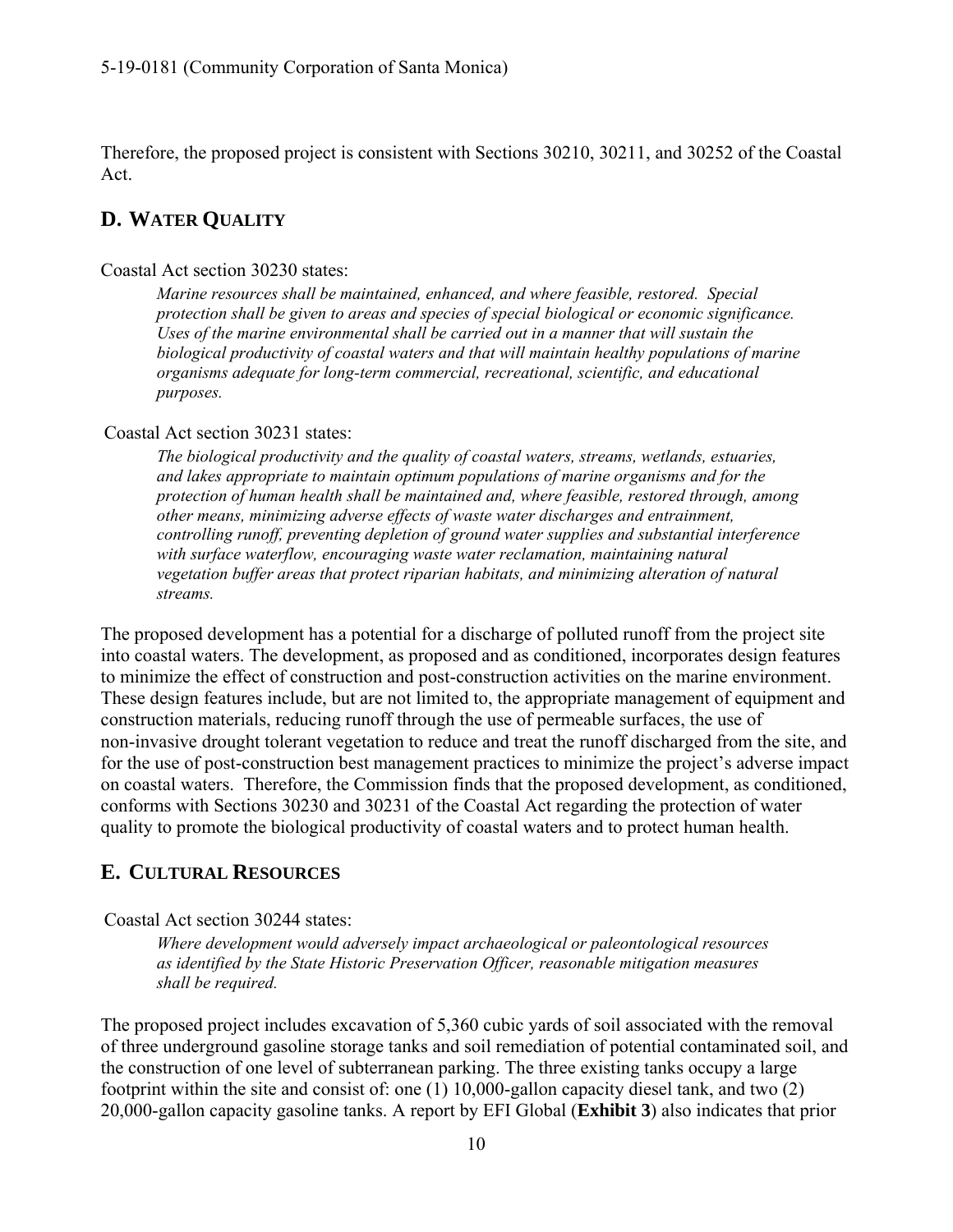Therefore, the proposed project is consistent with Sections 30210, 30211, and 30252 of the Coastal Act.

## **D. WATER QUALITY**

#### Coastal Act section 30230 states:

*Marine resources shall be maintained, enhanced, and where feasible, restored. Special protection shall be given to areas and species of special biological or economic significance. Uses of the marine environmental shall be carried out in a manner that will sustain the biological productivity of coastal waters and that will maintain healthy populations of marine organisms adequate for long-term commercial, recreational, scientific, and educational purposes.* 

### Coastal Act section 30231 states:

*The biological productivity and the quality of coastal waters, streams, wetlands, estuaries, and lakes appropriate to maintain optimum populations of marine organisms and for the protection of human health shall be maintained and, where feasible, restored through, among other means, minimizing adverse effects of waste water discharges and entrainment, controlling runoff, preventing depletion of ground water supplies and substantial interference*  with surface waterflow, encouraging waste water reclamation, maintaining natural *vegetation buffer areas that protect riparian habitats, and minimizing alteration of natural streams.* 

The proposed development has a potential for a discharge of polluted runoff from the project site into coastal waters. The development, as proposed and as conditioned, incorporates design features to minimize the effect of construction and post-construction activities on the marine environment. These design features include, but are not limited to, the appropriate management of equipment and construction materials, reducing runoff through the use of permeable surfaces, the use of non-invasive drought tolerant vegetation to reduce and treat the runoff discharged from the site, and for the use of post-construction best management practices to minimize the project's adverse impact on coastal waters. Therefore, the Commission finds that the proposed development, as conditioned, conforms with Sections 30230 and 30231 of the Coastal Act regarding the protection of water quality to promote the biological productivity of coastal waters and to protect human health.

## **E. CULTURAL RESOURCES**

### Coastal Act section 30244 states:

*Where development would adversely impact archaeological or paleontological resources as identified by the State Historic Preservation Officer, reasonable mitigation measures shall be required.* 

The proposed project includes excavation of 5,360 cubic yards of soil associated with the removal of three underground gasoline storage tanks and soil remediation of potential contaminated soil, and the construction of one level of subterranean parking. The three existing tanks occupy a large footprint within the site and consist of: one (1) 10,000-gallon capacity diesel tank, and two (2) 20,000-gallon capacity gasoline tanks. A report by EFI Global (**Exhibit 3**) also indicates that prior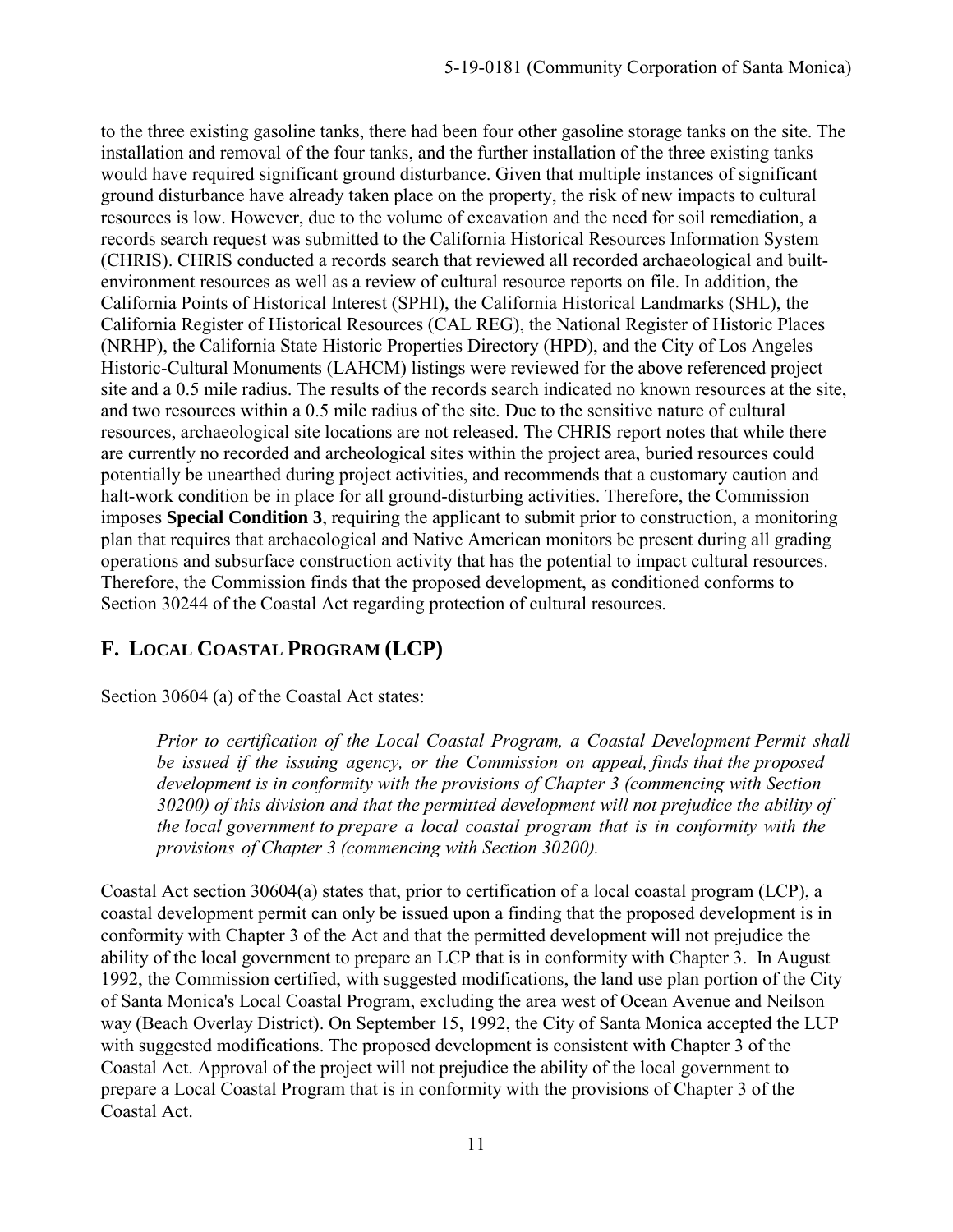to the three existing gasoline tanks, there had been four other gasoline storage tanks on the site. The installation and removal of the four tanks, and the further installation of the three existing tanks would have required significant ground disturbance. Given that multiple instances of significant ground disturbance have already taken place on the property, the risk of new impacts to cultural resources is low. However, due to the volume of excavation and the need for soil remediation, a records search request was submitted to the California Historical Resources Information System (CHRIS). CHRIS conducted a records search that reviewed all recorded archaeological and builtenvironment resources as well as a review of cultural resource reports on file. In addition, the California Points of Historical Interest (SPHI), the California Historical Landmarks (SHL), the California Register of Historical Resources (CAL REG), the National Register of Historic Places (NRHP), the California State Historic Properties Directory (HPD), and the City of Los Angeles Historic-Cultural Monuments (LAHCM) listings were reviewed for the above referenced project site and a 0.5 mile radius. The results of the records search indicated no known resources at the site, and two resources within a 0.5 mile radius of the site. Due to the sensitive nature of cultural resources, archaeological site locations are not released. The CHRIS report notes that while there are currently no recorded and archeological sites within the project area, buried resources could potentially be unearthed during project activities, and recommends that a customary caution and halt-work condition be in place for all ground-disturbing activities. Therefore, the Commission imposes **Special Condition 3**, requiring the applicant to submit prior to construction, a monitoring plan that requires that archaeological and Native American monitors be present during all grading operations and subsurface construction activity that has the potential to impact cultural resources. Therefore, the Commission finds that the proposed development, as conditioned conforms to Section 30244 of the Coastal Act regarding protection of cultural resources.

# **F. LOCAL COASTAL PROGRAM (LCP)**

Section 30604 (a) of the Coastal Act states:

*Prior to certification of the Local Coastal Program, a Coastal Development Permit shall be issued if the issuing agency, or the Commission on appeal, finds that the proposed development is in conformity with the provisions of Chapter 3 (commencing with Section 30200) of this division and that the permitted development will not prejudice the ability of the local government to prepare a local coastal program that is in conformity with the provisions of Chapter 3 (commencing with Section 30200).*

Coastal Act section 30604(a) states that, prior to certification of a local coastal program (LCP), a coastal development permit can only be issued upon a finding that the proposed development is in conformity with Chapter 3 of the Act and that the permitted development will not prejudice the ability of the local government to prepare an LCP that is in conformity with Chapter 3. In August 1992, the Commission certified, with suggested modifications, the land use plan portion of the City of Santa Monica's Local Coastal Program, excluding the area west of Ocean Avenue and Neilson way (Beach Overlay District). On September 15, 1992, the City of Santa Monica accepted the LUP with suggested modifications. The proposed development is consistent with Chapter 3 of the Coastal Act. Approval of the project will not prejudice the ability of the local government to prepare a Local Coastal Program that is in conformity with the provisions of Chapter 3 of the Coastal Act.